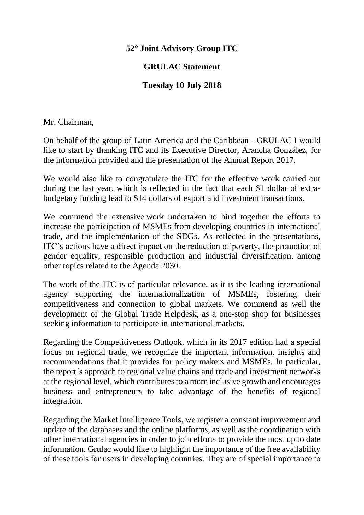## **52° Joint Advisory Group ITC**

## **GRULAC Statement**

## **Tuesday 10 July 2018**

Mr. Chairman,

On behalf of the group of Latin America and the Caribbean - GRULAC I would like to start by thanking ITC and its Executive Director, Arancha González, for the information provided and the presentation of the Annual Report 2017.

We would also like to congratulate the ITC for the effective work carried out during the last year, which is reflected in the fact that each \$1 dollar of extrabudgetary funding lead to \$14 dollars of export and investment transactions.

We commend the extensive work undertaken to bind together the efforts to increase the participation of MSMEs from developing countries in international trade, and the implementation of the SDGs. As reflected in the presentations, ITC's actions have a direct impact on the reduction of poverty, the promotion of gender equality, responsible production and industrial diversification, among other topics related to the Agenda 2030.

The work of the ITC is of particular relevance, as it is the leading international agency supporting the internationalization of MSMEs, fostering their competitiveness and connection to global markets. We commend as well the development of the Global Trade Helpdesk, as a one-stop shop for businesses seeking information to participate in international markets.

Regarding the Competitiveness Outlook, which in its 2017 edition had a special focus on regional trade, we recognize the important information, insights and recommendations that it provides for policy makers and MSMEs. In particular, the report´s approach to regional value chains and trade and investment networks at the regional level, which contributes to a more inclusive growth and encourages business and entrepreneurs to take advantage of the benefits of regional integration.

Regarding the Market Intelligence Tools, we register a constant improvement and update of the databases and the online platforms, as well as the coordination with other international agencies in order to join efforts to provide the most up to date information. Grulac would like to highlight the importance of the free availability of these tools for users in developing countries. They are of special importance to